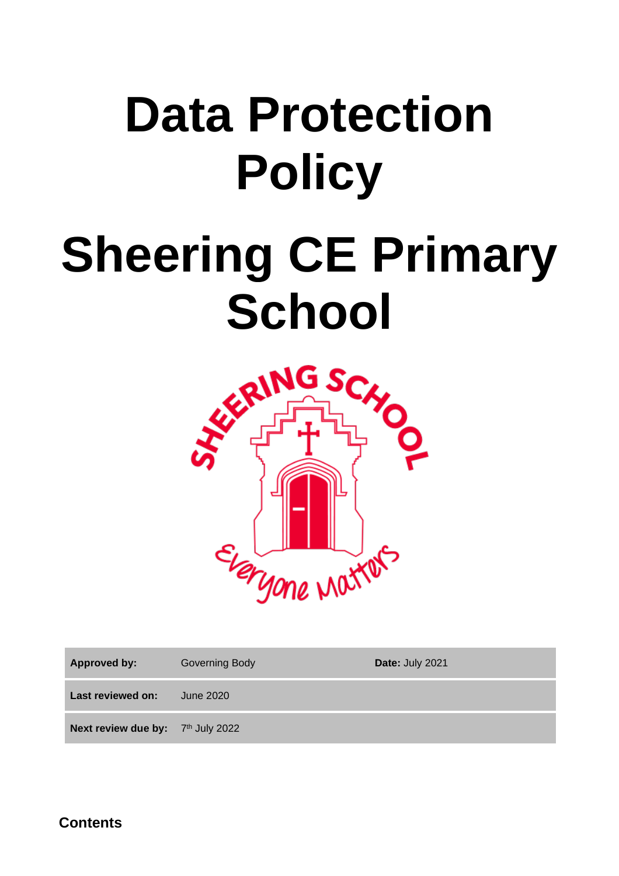# **Data Protection Policy**

# **Sheering CE Primary**



| <b>Approved by:</b>               | <b>Governing Body</b> | Date: July 2021 |
|-----------------------------------|-----------------------|-----------------|
| Last reviewed on:                 | June 2020             |                 |
| Next review due by: 7th July 2022 |                       |                 |

**Contents**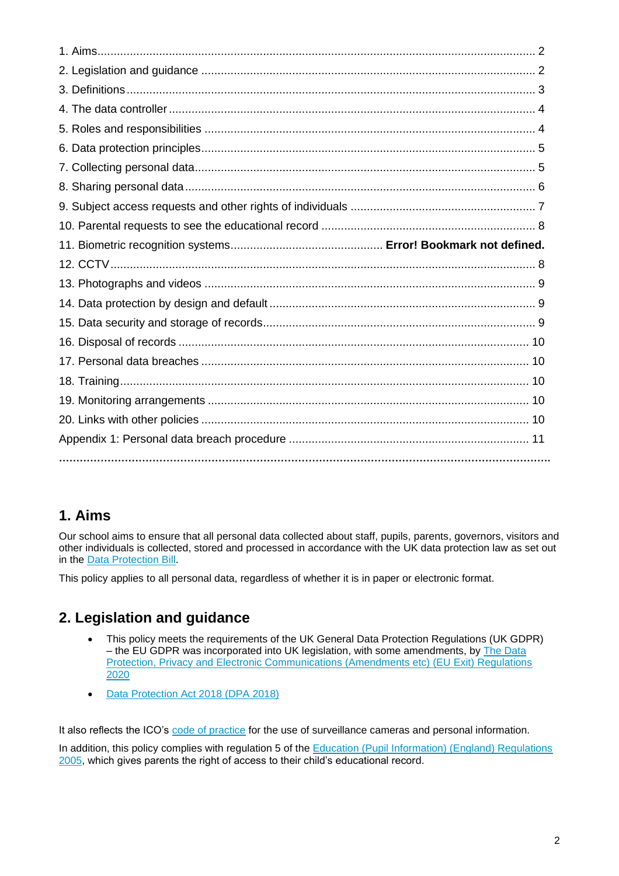# **1. Aims**

Our school aims to ensure that all personal data collected about staff, pupils, parents, governors, visitors and other individuals is collected, stored and processed in accordance with the UK data protection law as set out in the [Data Protection Bill.](https://publications.parliament.uk/pa/bills/cbill/2017-2019/0153/18153.pdf)

This policy applies to all personal data, regardless of whether it is in paper or electronic format.

# **2. Legislation and guidance**

- This policy meets the requirements of the UK General Data Protection Regulations (UK GDPR) – the EU GDPR was incorporated into UK legislation, with some amendments, by [The Data](https://www.legislation.gov.uk/uksi/2020/1586/made)  [Protection, Privacy and Electronic Communications \(Amendments etc\) \(EU Exit\) Regulations](https://www.legislation.gov.uk/uksi/2020/1586/made)  [2020](https://www.legislation.gov.uk/uksi/2020/1586/made)
- [Data Protection Act 2018 \(DPA 2018\)](http://www.legislation.gov.uk/ukpga/2018/12/contents/enacted)

It also reflects the ICO's [code of practice](https://ico.org.uk/media/for-organisations/documents/1542/cctv-code-of-practice.pdf) for the use of surveillance cameras and personal information.

In addition, this policy complies with regulation 5 of the Education (Pupil Information) (England) Regulations [2005,](http://www.legislation.gov.uk/uksi/2005/1437/regulation/5/made) which gives parents the right of access to their child's educational record.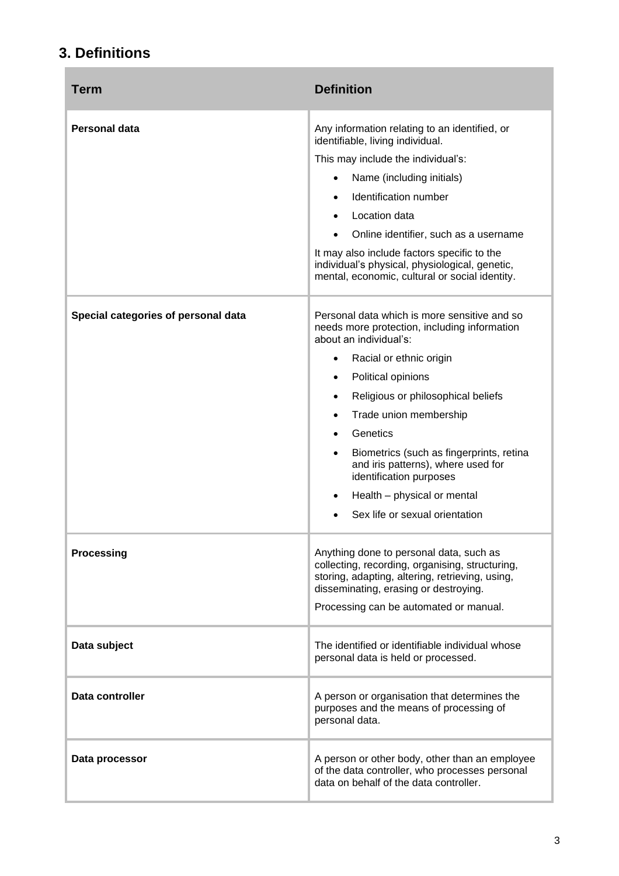# **3. Definitions**

×

| Term                                | <b>Definition</b>                                                                                                                                                                                                                                                                                                                                                                                                                                                                  |
|-------------------------------------|------------------------------------------------------------------------------------------------------------------------------------------------------------------------------------------------------------------------------------------------------------------------------------------------------------------------------------------------------------------------------------------------------------------------------------------------------------------------------------|
| <b>Personal data</b>                | Any information relating to an identified, or<br>identifiable, living individual.<br>This may include the individual's:<br>Name (including initials)<br>$\bullet$<br>Identification number<br>$\bullet$<br>Location data<br>$\bullet$<br>Online identifier, such as a username<br>It may also include factors specific to the<br>individual's physical, physiological, genetic,<br>mental, economic, cultural or social identity.                                                  |
| Special categories of personal data | Personal data which is more sensitive and so<br>needs more protection, including information<br>about an individual's:<br>Racial or ethnic origin<br>٠<br>Political opinions<br>$\bullet$<br>Religious or philosophical beliefs<br>٠<br>Trade union membership<br>$\bullet$<br>Genetics<br>Biometrics (such as fingerprints, retina<br>$\bullet$<br>and iris patterns), where used for<br>identification purposes<br>Health - physical or mental<br>Sex life or sexual orientation |
| <b>Processing</b>                   | Anything done to personal data, such as<br>collecting, recording, organising, structuring,<br>storing, adapting, altering, retrieving, using,<br>disseminating, erasing or destroying.<br>Processing can be automated or manual.                                                                                                                                                                                                                                                   |
| Data subject                        | The identified or identifiable individual whose<br>personal data is held or processed.                                                                                                                                                                                                                                                                                                                                                                                             |
| Data controller                     | A person or organisation that determines the<br>purposes and the means of processing of<br>personal data.                                                                                                                                                                                                                                                                                                                                                                          |
| Data processor                      | A person or other body, other than an employee<br>of the data controller, who processes personal<br>data on behalf of the data controller.                                                                                                                                                                                                                                                                                                                                         |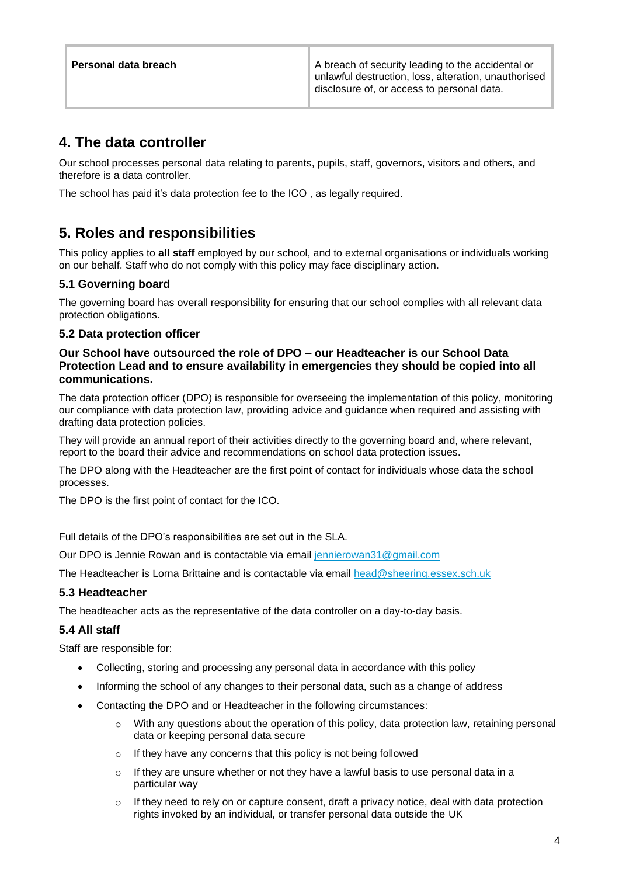| Personal data breach | A breach of security leading to the accidental or<br>unlawful destruction, loss, alteration, unauthorised  <br>disclosure of, or access to personal data. |
|----------------------|-----------------------------------------------------------------------------------------------------------------------------------------------------------|
|                      |                                                                                                                                                           |

# **4. The data controller**

Our school processes personal data relating to parents, pupils, staff, governors, visitors and others, and therefore is a data controller.

The school has paid it's data protection fee to the ICO , as legally required.

# **5. Roles and responsibilities**

This policy applies to **all staff** employed by our school, and to external organisations or individuals working on our behalf. Staff who do not comply with this policy may face disciplinary action.

#### **5.1 Governing board**

The governing board has overall responsibility for ensuring that our school complies with all relevant data protection obligations.

#### **5.2 Data protection officer**

#### **Our School have outsourced the role of DPO – our Headteacher is our School Data Protection Lead and to ensure availability in emergencies they should be copied into all communications.**

The data protection officer (DPO) is responsible for overseeing the implementation of this policy, monitoring our compliance with data protection law, providing advice and guidance when required and assisting with drafting data protection policies.

They will provide an annual report of their activities directly to the governing board and, where relevant, report to the board their advice and recommendations on school data protection issues.

The DPO along with the Headteacher are the first point of contact for individuals whose data the school processes.

The DPO is the first point of contact for the ICO.

Full details of the DPO's responsibilities are set out in the SLA.

Our DPO is Jennie Rowan and is contactable via email [jennierowan31@gmail.com](mailto:jennierowan31@gmail.com)

The Headteacher is Lorna Brittaine and is contactable via email [head@sheering.essex.sch.uk](mailto:head@sheering.essex.sch.uk)

#### **5.3 Headteacher**

The headteacher acts as the representative of the data controller on a day-to-day basis.

#### **5.4 All staff**

Staff are responsible for:

- Collecting, storing and processing any personal data in accordance with this policy
- Informing the school of any changes to their personal data, such as a change of address
- Contacting the DPO and or Headteacher in the following circumstances:
	- $\circ$  With any questions about the operation of this policy, data protection law, retaining personal data or keeping personal data secure
	- o If they have any concerns that this policy is not being followed
	- $\circ$  If they are unsure whether or not they have a lawful basis to use personal data in a particular way
	- If they need to rely on or capture consent, draft a privacy notice, deal with data protection rights invoked by an individual, or transfer personal data outside the UK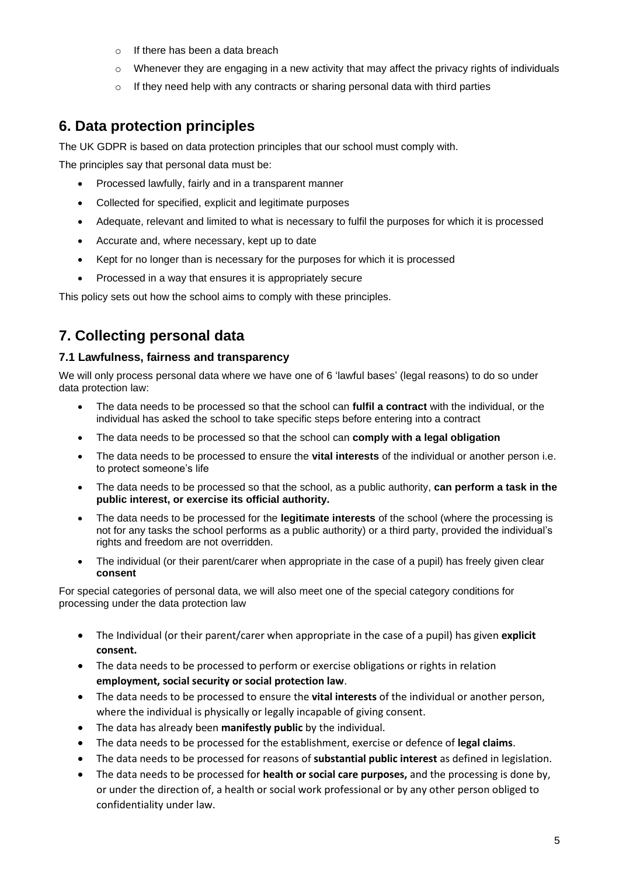- o If there has been a data breach
- $\circ$  Whenever they are engaging in a new activity that may affect the privacy rights of individuals
- $\circ$  If they need help with any contracts or sharing personal data with third parties

# **6. Data protection principles**

The UK GDPR is based on data protection principles that our school must comply with.

The principles say that personal data must be:

- Processed lawfully, fairly and in a transparent manner
- Collected for specified, explicit and legitimate purposes
- Adequate, relevant and limited to what is necessary to fulfil the purposes for which it is processed
- Accurate and, where necessary, kept up to date
- Kept for no longer than is necessary for the purposes for which it is processed
- Processed in a way that ensures it is appropriately secure

This policy sets out how the school aims to comply with these principles.

# **7. Collecting personal data**

#### **7.1 Lawfulness, fairness and transparency**

We will only process personal data where we have one of 6 'lawful bases' (legal reasons) to do so under data protection law:

- The data needs to be processed so that the school can **fulfil a contract** with the individual, or the individual has asked the school to take specific steps before entering into a contract
- The data needs to be processed so that the school can **comply with a legal obligation**
- The data needs to be processed to ensure the **vital interests** of the individual or another person i.e. to protect someone's life
- The data needs to be processed so that the school, as a public authority, **can perform a task in the public interest, or exercise its official authority.**
- The data needs to be processed for the **legitimate interests** of the school (where the processing is not for any tasks the school performs as a public authority) or a third party, provided the individual's rights and freedom are not overridden.
- The individual (or their parent/carer when appropriate in the case of a pupil) has freely given clear **consent**

For special categories of personal data, we will also meet one of the special category conditions for processing under the data protection law

- The Individual (or their parent/carer when appropriate in the case of a pupil) has given **explicit consent.**
- The data needs to be processed to perform or exercise obligations or rights in relation **employment, social security or social protection law**.
- The data needs to be processed to ensure the **vital interests** of the individual or another person, where the individual is physically or legally incapable of giving consent.
- The data has already been **manifestly public** by the individual.
- The data needs to be processed for the establishment, exercise or defence of **legal claims**.
- The data needs to be processed for reasons of **substantial public interest** as defined in legislation.
- The data needs to be processed for **health or social care purposes,** and the processing is done by, or under the direction of, a health or social work professional or by any other person obliged to confidentiality under law.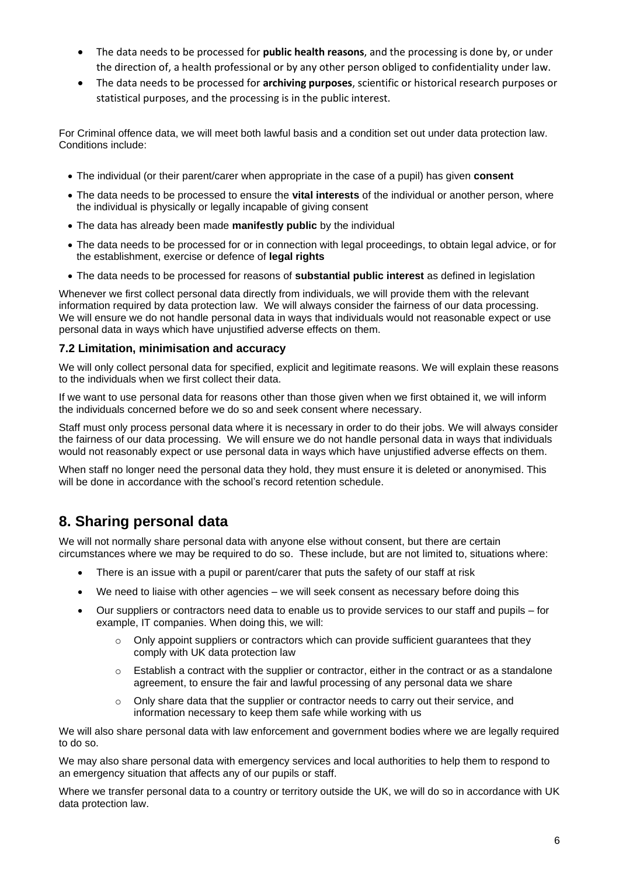- The data needs to be processed for **public health reasons**, and the processing is done by, or under the direction of, a health professional or by any other person obliged to confidentiality under law.
- The data needs to be processed for **archiving purposes**, scientific or historical research purposes or statistical purposes, and the processing is in the public interest.

For Criminal offence data, we will meet both lawful basis and a condition set out under data protection law. Conditions include:

- The individual (or their parent/carer when appropriate in the case of a pupil) has given **consent**
- The data needs to be processed to ensure the **vital interests** of the individual or another person, where the individual is physically or legally incapable of giving consent
- The data has already been made **manifestly public** by the individual
- The data needs to be processed for or in connection with legal proceedings, to obtain legal advice, or for the establishment, exercise or defence of **legal rights**
- The data needs to be processed for reasons of **substantial public interest** as defined in legislation

Whenever we first collect personal data directly from individuals, we will provide them with the relevant information required by data protection law. We will always consider the fairness of our data processing. We will ensure we do not handle personal data in ways that individuals would not reasonable expect or use personal data in ways which have unjustified adverse effects on them.

#### **7.2 Limitation, minimisation and accuracy**

We will only collect personal data for specified, explicit and legitimate reasons. We will explain these reasons to the individuals when we first collect their data.

If we want to use personal data for reasons other than those given when we first obtained it, we will inform the individuals concerned before we do so and seek consent where necessary.

Staff must only process personal data where it is necessary in order to do their jobs. We will always consider the fairness of our data processing. We will ensure we do not handle personal data in ways that individuals would not reasonably expect or use personal data in ways which have unjustified adverse effects on them.

When staff no longer need the personal data they hold, they must ensure it is deleted or anonymised. This will be done in accordance with the school's record retention schedule.

# **8. Sharing personal data**

We will not normally share personal data with anyone else without consent, but there are certain circumstances where we may be required to do so. These include, but are not limited to, situations where:

- There is an issue with a pupil or parent/carer that puts the safety of our staff at risk
- We need to liaise with other agencies we will seek consent as necessary before doing this
- Our suppliers or contractors need data to enable us to provide services to our staff and pupils for example, IT companies. When doing this, we will:
	- $\circ$  Only appoint suppliers or contractors which can provide sufficient guarantees that they comply with UK data protection law
	- $\circ$  Establish a contract with the supplier or contractor, either in the contract or as a standalone agreement, to ensure the fair and lawful processing of any personal data we share
	- $\circ$  Only share data that the supplier or contractor needs to carry out their service, and information necessary to keep them safe while working with us

We will also share personal data with law enforcement and government bodies where we are legally required to do so.

We may also share personal data with emergency services and local authorities to help them to respond to an emergency situation that affects any of our pupils or staff.

Where we transfer personal data to a country or territory outside the UK, we will do so in accordance with UK data protection law.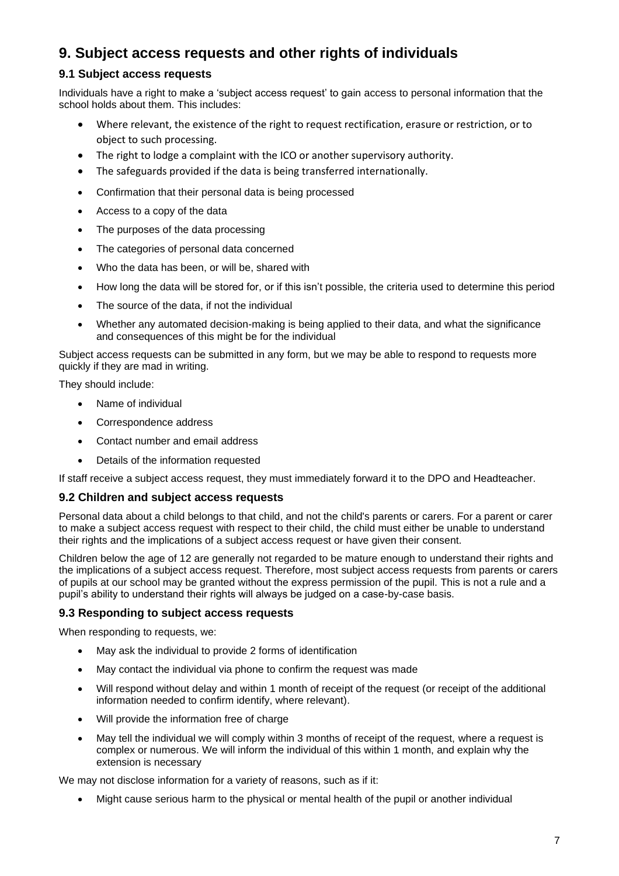# **9. Subject access requests and other rights of individuals**

#### **9.1 Subject access requests**

Individuals have a right to make a 'subject access request' to gain access to personal information that the school holds about them. This includes:

- Where relevant, the existence of the right to request rectification, erasure or restriction, or to object to such processing.
- The right to lodge a complaint with the ICO or another supervisory authority.
- The safeguards provided if the data is being transferred internationally.
- Confirmation that their personal data is being processed
- Access to a copy of the data
- The purposes of the data processing
- The categories of personal data concerned
- Who the data has been, or will be, shared with
- How long the data will be stored for, or if this isn't possible, the criteria used to determine this period
- The source of the data, if not the individual
- Whether any automated decision-making is being applied to their data, and what the significance and consequences of this might be for the individual

Subject access requests can be submitted in any form, but we may be able to respond to requests more quickly if they are mad in writing.

They should include:

- Name of individual
- Correspondence address
- Contact number and email address
- Details of the information requested

If staff receive a subject access request, they must immediately forward it to the DPO and Headteacher.

#### **9.2 Children and subject access requests**

Personal data about a child belongs to that child, and not the child's parents or carers. For a parent or carer to make a subject access request with respect to their child, the child must either be unable to understand their rights and the implications of a subject access request or have given their consent.

Children below the age of 12 are generally not regarded to be mature enough to understand their rights and the implications of a subject access request. Therefore, most subject access requests from parents or carers of pupils at our school may be granted without the express permission of the pupil. This is not a rule and a pupil's ability to understand their rights will always be judged on a case-by-case basis.

#### **9.3 Responding to subject access requests**

When responding to requests, we:

- May ask the individual to provide 2 forms of identification
- May contact the individual via phone to confirm the request was made
- Will respond without delay and within 1 month of receipt of the request (or receipt of the additional information needed to confirm identify, where relevant).
- Will provide the information free of charge
- May tell the individual we will comply within 3 months of receipt of the request, where a request is complex or numerous. We will inform the individual of this within 1 month, and explain why the extension is necessary

We may not disclose information for a variety of reasons, such as if it:

• Might cause serious harm to the physical or mental health of the pupil or another individual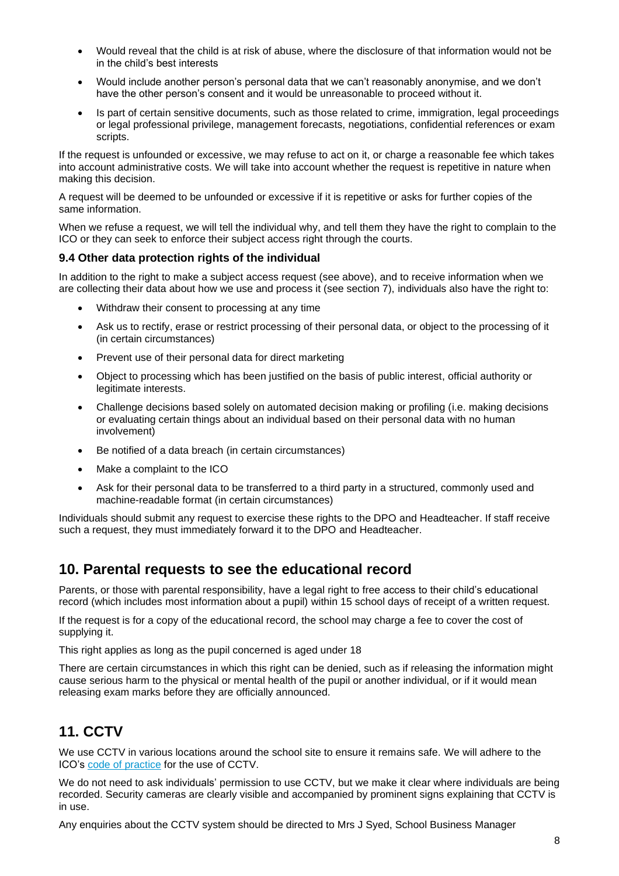- Would reveal that the child is at risk of abuse, where the disclosure of that information would not be in the child's best interests
- Would include another person's personal data that we can't reasonably anonymise, and we don't have the other person's consent and it would be unreasonable to proceed without it.
- Is part of certain sensitive documents, such as those related to crime, immigration, legal proceedings or legal professional privilege, management forecasts, negotiations, confidential references or exam scripts.

If the request is unfounded or excessive, we may refuse to act on it, or charge a reasonable fee which takes into account administrative costs. We will take into account whether the request is repetitive in nature when making this decision.

A request will be deemed to be unfounded or excessive if it is repetitive or asks for further copies of the same information.

When we refuse a request, we will tell the individual why, and tell them they have the right to complain to the ICO or they can seek to enforce their subject access right through the courts.

#### **9.4 Other data protection rights of the individual**

In addition to the right to make a subject access request (see above), and to receive information when we are collecting their data about how we use and process it (see section 7), individuals also have the right to:

- Withdraw their consent to processing at any time
- Ask us to rectify, erase or restrict processing of their personal data, or object to the processing of it (in certain circumstances)
- Prevent use of their personal data for direct marketing
- Object to processing which has been justified on the basis of public interest, official authority or legitimate interests.
- Challenge decisions based solely on automated decision making or profiling (i.e. making decisions or evaluating certain things about an individual based on their personal data with no human involvement)
- Be notified of a data breach (in certain circumstances)
- Make a complaint to the ICO
- Ask for their personal data to be transferred to a third party in a structured, commonly used and machine-readable format (in certain circumstances)

Individuals should submit any request to exercise these rights to the DPO and Headteacher. If staff receive such a request, they must immediately forward it to the DPO and Headteacher.

# **10. Parental requests to see the educational record**

Parents, or those with parental responsibility, have a legal right to free access to their child's educational record (which includes most information about a pupil) within 15 school days of receipt of a written request.

If the request is for a copy of the educational record, the school may charge a fee to cover the cost of supplying it.

This right applies as long as the pupil concerned is aged under 18

There are certain circumstances in which this right can be denied, such as if releasing the information might cause serious harm to the physical or mental health of the pupil or another individual, or if it would mean releasing exam marks before they are officially announced.

# **11. CCTV**

We use CCTV in various locations around the school site to ensure it remains safe. We will adhere to the ICO's [code of practice](https://ico.org.uk/media/for-organisations/documents/1542/cctv-code-of-practice.pdf) for the use of CCTV.

We do not need to ask individuals' permission to use CCTV, but we make it clear where individuals are being recorded. Security cameras are clearly visible and accompanied by prominent signs explaining that CCTV is in use.

Any enquiries about the CCTV system should be directed to Mrs J Syed, School Business Manager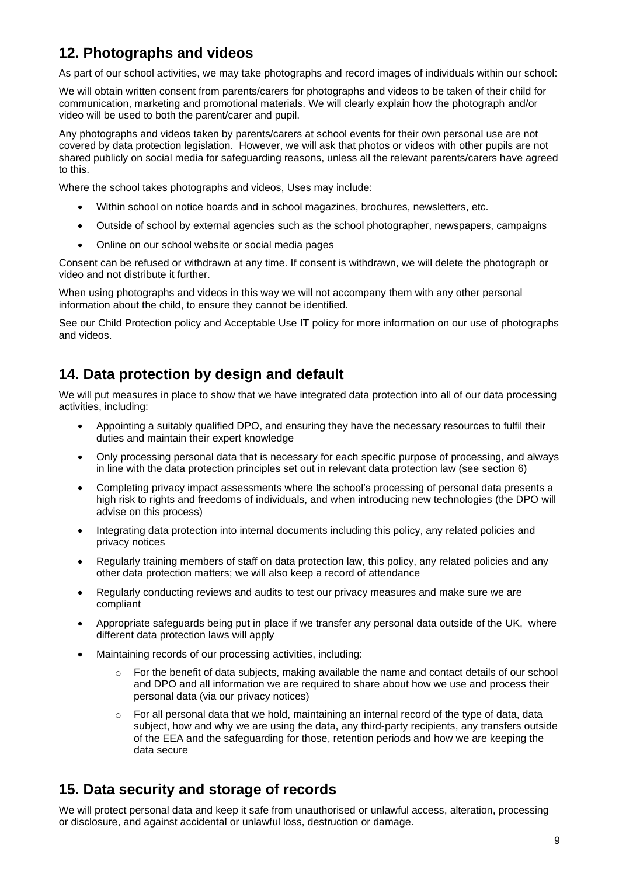# **12. Photographs and videos**

As part of our school activities, we may take photographs and record images of individuals within our school:

We will obtain written consent from parents/carers for photographs and videos to be taken of their child for communication, marketing and promotional materials. We will clearly explain how the photograph and/or video will be used to both the parent/carer and pupil.

Any photographs and videos taken by parents/carers at school events for their own personal use are not covered by data protection legislation. However, we will ask that photos or videos with other pupils are not shared publicly on social media for safeguarding reasons, unless all the relevant parents/carers have agreed to this.

Where the school takes photographs and videos, Uses may include:

- Within school on notice boards and in school magazines, brochures, newsletters, etc.
- Outside of school by external agencies such as the school photographer, newspapers, campaigns
- Online on our school website or social media pages

Consent can be refused or withdrawn at any time. If consent is withdrawn, we will delete the photograph or video and not distribute it further.

When using photographs and videos in this way we will not accompany them with any other personal information about the child, to ensure they cannot be identified.

See our Child Protection policy and Acceptable Use IT policy for more information on our use of photographs and videos.

# **14. Data protection by design and default**

We will put measures in place to show that we have integrated data protection into all of our data processing activities, including:

- Appointing a suitably qualified DPO, and ensuring they have the necessary resources to fulfil their duties and maintain their expert knowledge
- Only processing personal data that is necessary for each specific purpose of processing, and always in line with the data protection principles set out in relevant data protection law (see section 6)
- Completing privacy impact assessments where the school's processing of personal data presents a high risk to rights and freedoms of individuals, and when introducing new technologies (the DPO will advise on this process)
- Integrating data protection into internal documents including this policy, any related policies and privacy notices
- Regularly training members of staff on data protection law, this policy, any related policies and any other data protection matters; we will also keep a record of attendance
- Regularly conducting reviews and audits to test our privacy measures and make sure we are compliant
- Appropriate safeguards being put in place if we transfer any personal data outside of the UK, where different data protection laws will apply
- Maintaining records of our processing activities, including:
	- $\circ$  For the benefit of data subjects, making available the name and contact details of our school and DPO and all information we are required to share about how we use and process their personal data (via our privacy notices)
	- $\circ$  For all personal data that we hold, maintaining an internal record of the type of data, data subject, how and why we are using the data, any third-party recipients, any transfers outside of the EEA and the safeguarding for those, retention periods and how we are keeping the data secure

# **15. Data security and storage of records**

We will protect personal data and keep it safe from unauthorised or unlawful access, alteration, processing or disclosure, and against accidental or unlawful loss, destruction or damage.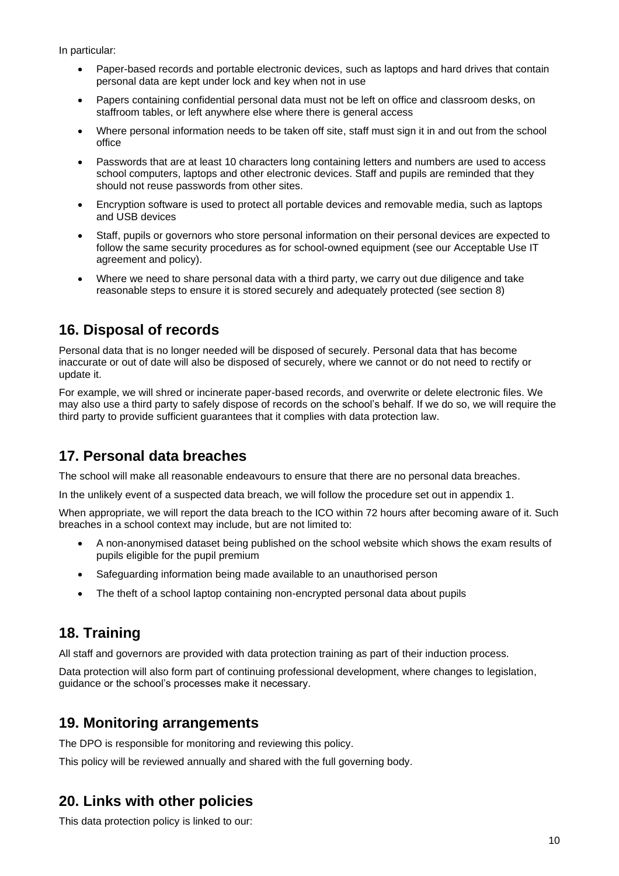In particular:

- Paper-based records and portable electronic devices, such as laptops and hard drives that contain personal data are kept under lock and key when not in use
- Papers containing confidential personal data must not be left on office and classroom desks, on staffroom tables, or left anywhere else where there is general access
- Where personal information needs to be taken off site, staff must sign it in and out from the school office
- Passwords that are at least 10 characters long containing letters and numbers are used to access school computers, laptops and other electronic devices. Staff and pupils are reminded that they should not reuse passwords from other sites.
- Encryption software is used to protect all portable devices and removable media, such as laptops and USB devices
- Staff, pupils or governors who store personal information on their personal devices are expected to follow the same security procedures as for school-owned equipment (see our Acceptable Use IT agreement and policy).
- Where we need to share personal data with a third party, we carry out due diligence and take reasonable steps to ensure it is stored securely and adequately protected (see section 8)

# **16. Disposal of records**

Personal data that is no longer needed will be disposed of securely. Personal data that has become inaccurate or out of date will also be disposed of securely, where we cannot or do not need to rectify or update it.

For example, we will shred or incinerate paper-based records, and overwrite or delete electronic files. We may also use a third party to safely dispose of records on the school's behalf. If we do so, we will require the third party to provide sufficient guarantees that it complies with data protection law.

# **17. Personal data breaches**

The school will make all reasonable endeavours to ensure that there are no personal data breaches.

In the unlikely event of a suspected data breach, we will follow the procedure set out in appendix 1.

When appropriate, we will report the data breach to the ICO within 72 hours after becoming aware of it. Such breaches in a school context may include, but are not limited to:

- A non-anonymised dataset being published on the school website which shows the exam results of pupils eligible for the pupil premium
- Safeguarding information being made available to an unauthorised person
- The theft of a school laptop containing non-encrypted personal data about pupils

# **18. Training**

All staff and governors are provided with data protection training as part of their induction process.

Data protection will also form part of continuing professional development, where changes to legislation, guidance or the school's processes make it necessary.

### **19. Monitoring arrangements**

The DPO is responsible for monitoring and reviewing this policy.

This policy will be reviewed annually and shared with the full governing body.

# **20. Links with other policies**

This data protection policy is linked to our: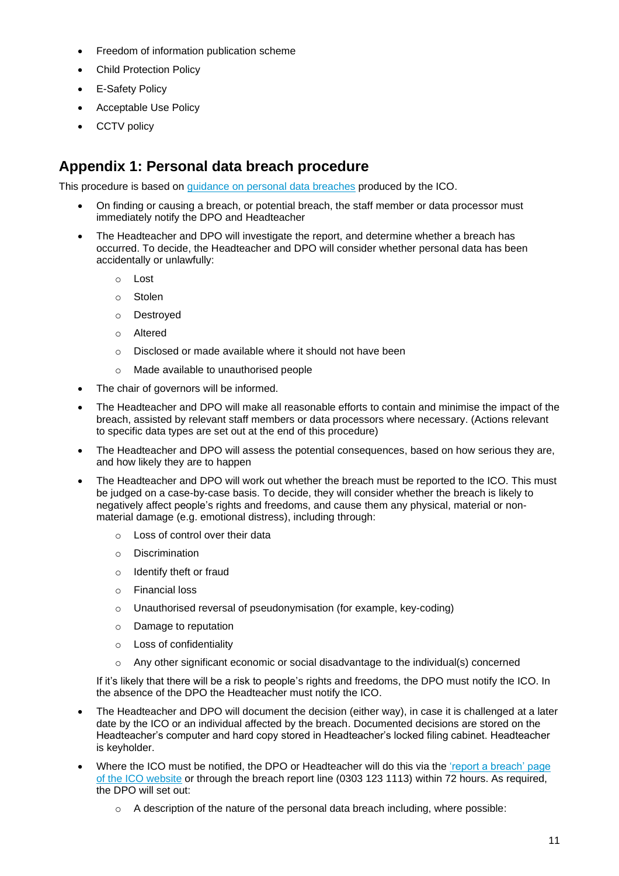- Freedom of information publication scheme
- **Child Protection Policy**
- E-Safety Policy
- Acceptable Use Policy
- **CCTV** policy

## **Appendix 1: Personal data breach procedure**

This procedure is based on [guidance on personal data breaches](https://ico.org.uk/for-organisations/guide-to-the-general-data-protection-regulation-gdpr/personal-data-breaches/) produced by the ICO.

- On finding or causing a breach, or potential breach, the staff member or data processor must immediately notify the DPO and Headteacher
- The Headteacher and DPO will investigate the report, and determine whether a breach has occurred. To decide, the Headteacher and DPO will consider whether personal data has been accidentally or unlawfully:
	- o Lost
	- o Stolen
	- o Destroyed
	- o Altered
	- o Disclosed or made available where it should not have been
	- o Made available to unauthorised people
- The chair of governors will be informed.
- The Headteacher and DPO will make all reasonable efforts to contain and minimise the impact of the breach, assisted by relevant staff members or data processors where necessary. (Actions relevant to specific data types are set out at the end of this procedure)
- The Headteacher and DPO will assess the potential consequences, based on how serious they are, and how likely they are to happen
- The Headteacher and DPO will work out whether the breach must be reported to the ICO. This must be judged on a case-by-case basis. To decide, they will consider whether the breach is likely to negatively affect people's rights and freedoms, and cause them any physical, material or nonmaterial damage (e.g. emotional distress), including through:
	- o Loss of control over their data
	- o Discrimination
	- o Identify theft or fraud
	- o Financial loss
	- o Unauthorised reversal of pseudonymisation (for example, key-coding)
	- o Damage to reputation
	- o Loss of confidentiality
	- $\circ$  Any other significant economic or social disadvantage to the individual(s) concerned

If it's likely that there will be a risk to people's rights and freedoms, the DPO must notify the ICO. In the absence of the DPO the Headteacher must notify the ICO.

- The Headteacher and DPO will document the decision (either way), in case it is challenged at a later date by the ICO or an individual affected by the breach. Documented decisions are stored on the Headteacher's computer and hard copy stored in Headteacher's locked filing cabinet. Headteacher is keyholder.
- Where the ICO must be notified, the DPO or Headteacher will do this via the 'report a breach' page [of the ICO website](https://ico.org.uk/for-organisations/report-a-breach/) or through the breach report line (0303 123 1113) within 72 hours. As required, the DPO will set out:
	- $\circ$  A description of the nature of the personal data breach including, where possible: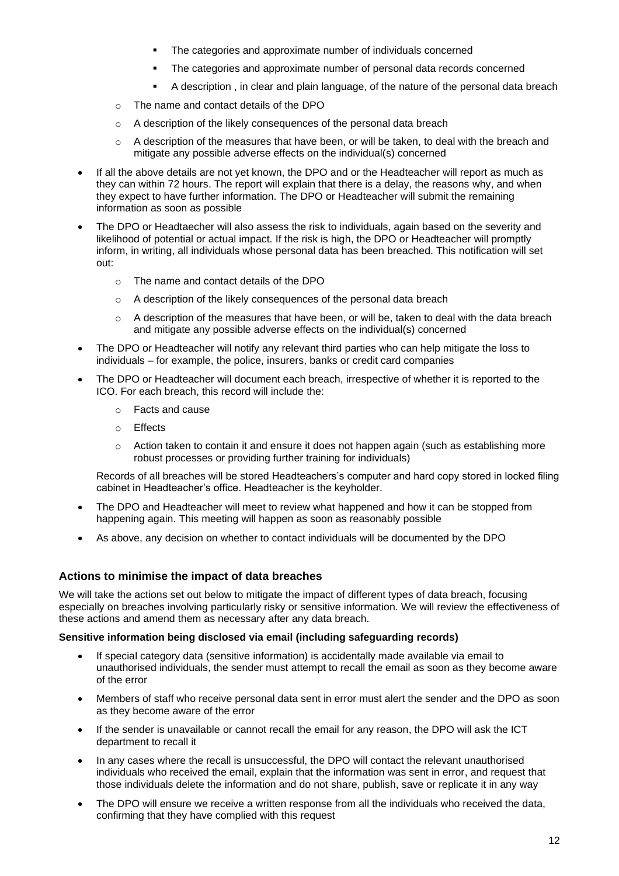- The categories and approximate number of individuals concerned
- **•** The categories and approximate number of personal data records concerned
- A description , in clear and plain language, of the nature of the personal data breach
- o The name and contact details of the DPO
- o A description of the likely consequences of the personal data breach
- $\circ$  A description of the measures that have been, or will be taken, to deal with the breach and mitigate any possible adverse effects on the individual(s) concerned
- If all the above details are not yet known, the DPO and or the Headteacher will report as much as they can within 72 hours. The report will explain that there is a delay, the reasons why, and when they expect to have further information. The DPO or Headteacher will submit the remaining information as soon as possible
- The DPO or Headtaecher will also assess the risk to individuals, again based on the severity and likelihood of potential or actual impact. If the risk is high, the DPO or Headteacher will promptly inform, in writing, all individuals whose personal data has been breached. This notification will set out:
	- o The name and contact details of the DPO
	- o A description of the likely consequences of the personal data breach
	- $\circ$  A description of the measures that have been, or will be, taken to deal with the data breach and mitigate any possible adverse effects on the individual(s) concerned
- The DPO or Headteacher will notify any relevant third parties who can help mitigate the loss to individuals – for example, the police, insurers, banks or credit card companies
- The DPO or Headteacher will document each breach, irrespective of whether it is reported to the ICO. For each breach, this record will include the:
	- o Facts and cause
	- o Effects
	- o Action taken to contain it and ensure it does not happen again (such as establishing more robust processes or providing further training for individuals)

Records of all breaches will be stored Headteachers's computer and hard copy stored in locked filing cabinet in Headteacher's office. Headteacher is the keyholder.

- The DPO and Headteacher will meet to review what happened and how it can be stopped from happening again. This meeting will happen as soon as reasonably possible
- As above, any decision on whether to contact individuals will be documented by the DPO

#### **Actions to minimise the impact of data breaches**

We will take the actions set out below to mitigate the impact of different types of data breach, focusing especially on breaches involving particularly risky or sensitive information. We will review the effectiveness of these actions and amend them as necessary after any data breach.

#### **Sensitive information being disclosed via email (including safeguarding records)**

- If special category data (sensitive information) is accidentally made available via email to unauthorised individuals, the sender must attempt to recall the email as soon as they become aware of the error
- Members of staff who receive personal data sent in error must alert the sender and the DPO as soon as they become aware of the error
- If the sender is unavailable or cannot recall the email for any reason, the DPO will ask the ICT department to recall it
- In any cases where the recall is unsuccessful, the DPO will contact the relevant unauthorised individuals who received the email, explain that the information was sent in error, and request that those individuals delete the information and do not share, publish, save or replicate it in any way
- The DPO will ensure we receive a written response from all the individuals who received the data, confirming that they have complied with this request